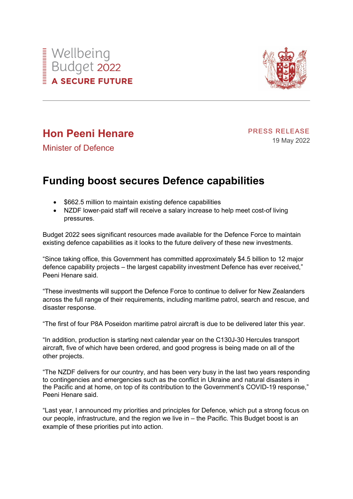



## **Hon Peeni Henare**

PRESS RELEASE 19 May 2022

Minister of Defence

## **Funding boost secures Defence capabilities**

- \$662.5 million to maintain existing defence capabilities
- NZDF lower-paid staff will receive a salary increase to help meet cost-of living pressures.

Budget 2022 sees significant resources made available for the Defence Force to maintain existing defence capabilities as it looks to the future delivery of these new investments.

"Since taking office, this Government has committed approximately \$4.5 billion to 12 major defence capability projects – the largest capability investment Defence has ever received," Peeni Henare said.

"These investments will support the Defence Force to continue to deliver for New Zealanders across the full range of their requirements, including maritime patrol, search and rescue, and disaster response.

"The first of four P8A Poseidon maritime patrol aircraft is due to be delivered later this year.

"In addition, production is starting next calendar year on the C130J-30 Hercules transport aircraft, five of which have been ordered, and good progress is being made on all of the other projects.

"The NZDF delivers for our country, and has been very busy in the last two years responding to contingencies and emergencies such as the conflict in Ukraine and natural disasters in the Pacific and at home, on top of its contribution to the Government's COVID-19 response," Peeni Henare said.

"Last year, I announced my priorities and principles for Defence, which put a strong focus on our people, infrastructure, and the region we live in – the Pacific. This Budget boost is an example of these priorities put into action.